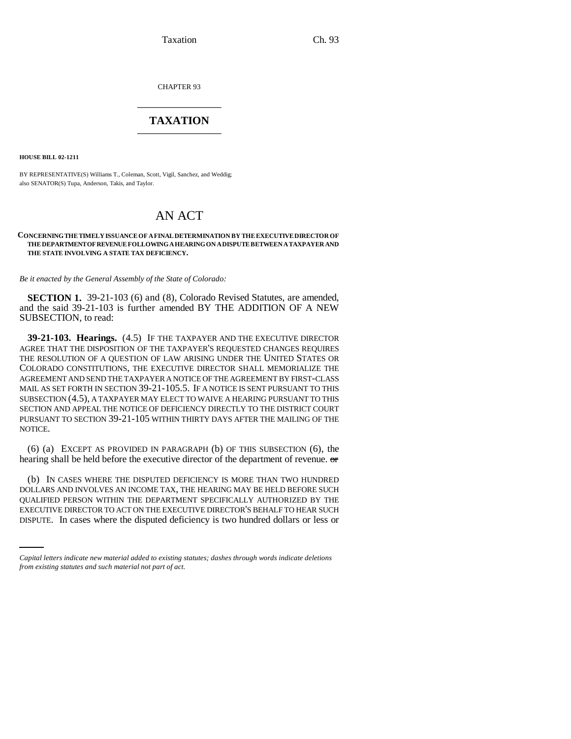Taxation Ch. 93

CHAPTER 93 \_\_\_\_\_\_\_\_\_\_\_\_\_\_\_

## **TAXATION** \_\_\_\_\_\_\_\_\_\_\_\_\_\_\_

**HOUSE BILL 02-1211**

BY REPRESENTATIVE(S) Williams T., Coleman, Scott, Vigil, Sanchez, and Weddig; also SENATOR(S) Tupa, Anderson, Takis, and Taylor.

# AN ACT

#### **CONCERNING THE TIMELY ISSUANCE OF A FINAL DETERMINATION BY THE EXECUTIVE DIRECTOR OF THE DEPARTMENT OF REVENUE FOLLOWING A HEARING ON A DISPUTE BETWEEN A TAXPAYER AND THE STATE INVOLVING A STATE TAX DEFICIENCY.**

*Be it enacted by the General Assembly of the State of Colorado:*

**SECTION 1.** 39-21-103 (6) and (8), Colorado Revised Statutes, are amended, and the said 39-21-103 is further amended BY THE ADDITION OF A NEW SUBSECTION, to read:

**39-21-103. Hearings.** (4.5) IF THE TAXPAYER AND THE EXECUTIVE DIRECTOR AGREE THAT THE DISPOSITION OF THE TAXPAYER'S REQUESTED CHANGES REQUIRES THE RESOLUTION OF A QUESTION OF LAW ARISING UNDER THE UNITED STATES OR COLORADO CONSTITUTIONS, THE EXECUTIVE DIRECTOR SHALL MEMORIALIZE THE AGREEMENT AND SEND THE TAXPAYER A NOTICE OF THE AGREEMENT BY FIRST-CLASS MAIL AS SET FORTH IN SECTION 39-21-105.5. IF A NOTICE IS SENT PURSUANT TO THIS SUBSECTION (4.5), A TAXPAYER MAY ELECT TO WAIVE A HEARING PURSUANT TO THIS SECTION AND APPEAL THE NOTICE OF DEFICIENCY DIRECTLY TO THE DISTRICT COURT PURSUANT TO SECTION 39-21-105 WITHIN THIRTY DAYS AFTER THE MAILING OF THE NOTICE.

(6) (a) EXCEPT AS PROVIDED IN PARAGRAPH (b) OF THIS SUBSECTION (6), the hearing shall be held before the executive director of the department of revenue. or

QUALIFIED PERSON WITHIN THE DEPARTMENT SPECIFICALLY AUTHORIZED BY THE (b) IN CASES WHERE THE DISPUTED DEFICIENCY IS MORE THAN TWO HUNDRED DOLLARS AND INVOLVES AN INCOME TAX, THE HEARING MAY BE HELD BEFORE SUCH EXECUTIVE DIRECTOR TO ACT ON THE EXECUTIVE DIRECTOR'S BEHALF TO HEAR SUCH DISPUTE. In cases where the disputed deficiency is two hundred dollars or less or

*Capital letters indicate new material added to existing statutes; dashes through words indicate deletions from existing statutes and such material not part of act.*